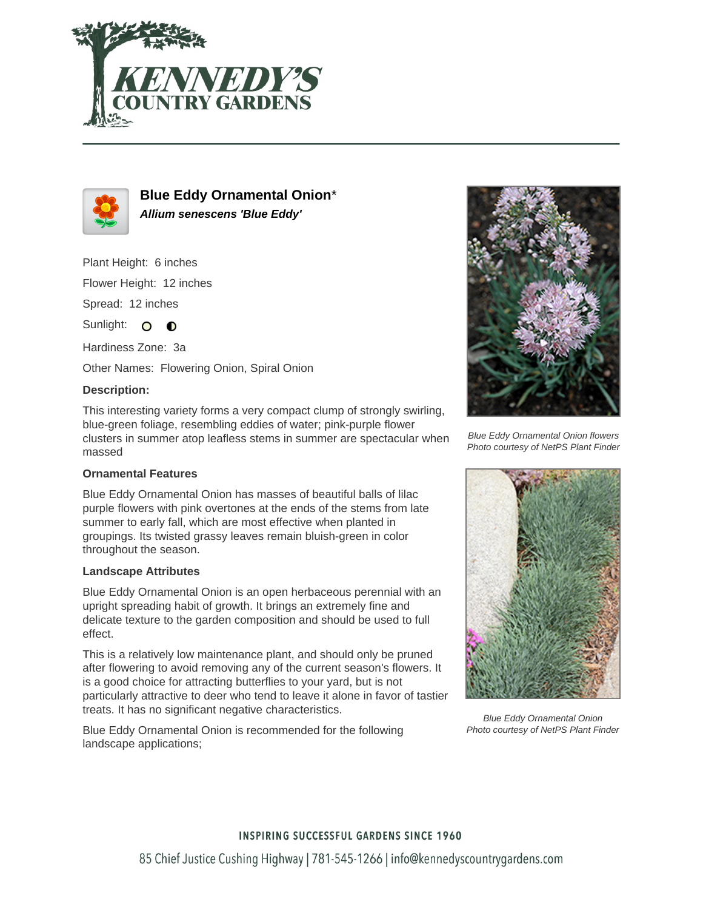



**Blue Eddy Ornamental Onion**\* **Allium senescens 'Blue Eddy'**

Plant Height: 6 inches

Flower Height: 12 inches

Spread: 12 inches

Sunlight:  $\Omega$  $\bullet$ 

Hardiness Zone: 3a

Other Names: Flowering Onion, Spiral Onion

#### **Description:**

This interesting variety forms a very compact clump of strongly swirling, blue-green foliage, resembling eddies of water; pink-purple flower clusters in summer atop leafless stems in summer are spectacular when massed

## **Ornamental Features**

Blue Eddy Ornamental Onion has masses of beautiful balls of lilac purple flowers with pink overtones at the ends of the stems from late summer to early fall, which are most effective when planted in groupings. Its twisted grassy leaves remain bluish-green in color throughout the season.

### **Landscape Attributes**

Blue Eddy Ornamental Onion is an open herbaceous perennial with an upright spreading habit of growth. It brings an extremely fine and delicate texture to the garden composition and should be used to full effect.

This is a relatively low maintenance plant, and should only be pruned after flowering to avoid removing any of the current season's flowers. It is a good choice for attracting butterflies to your yard, but is not particularly attractive to deer who tend to leave it alone in favor of tastier treats. It has no significant negative characteristics.

Blue Eddy Ornamental Onion is recommended for the following landscape applications;



Blue Eddy Ornamental Onion flowers Photo courtesy of NetPS Plant Finder



Blue Eddy Ornamental Onion Photo courtesy of NetPS Plant Finder

### **INSPIRING SUCCESSFUL GARDENS SINCE 1960**